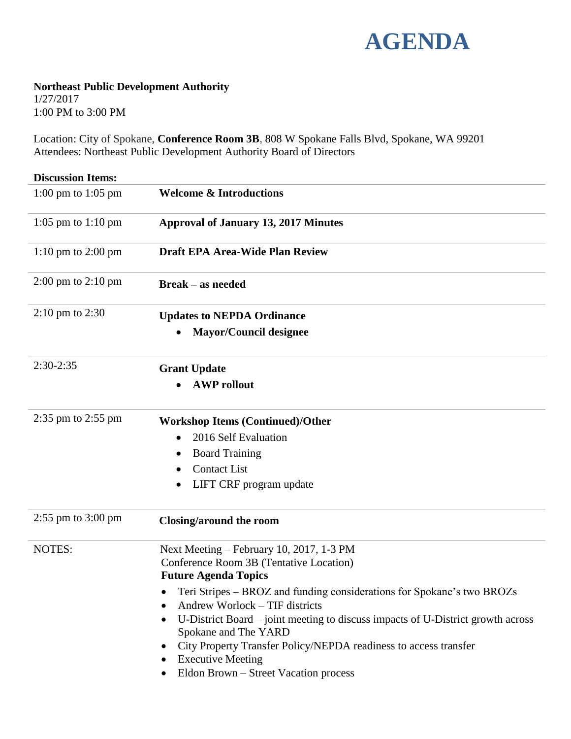

## **Northeast Public Development Authority**

1/27/2017 1:00 PM to 3:00 PM

Location: City of Spokane, **Conference Room 3B**, 808 W Spokane Falls Blvd, Spokane, WA 99201 Attendees: Northeast Public Development Authority Board of Directors

| <b>Discussion Items:</b>               |                                                                                                                                                                                                                                                                                                                                                                   |
|----------------------------------------|-------------------------------------------------------------------------------------------------------------------------------------------------------------------------------------------------------------------------------------------------------------------------------------------------------------------------------------------------------------------|
| 1:00 pm to 1:05 pm                     | <b>Welcome &amp; Introductions</b>                                                                                                                                                                                                                                                                                                                                |
| 1:05 pm to $1:10$ pm                   | <b>Approval of January 13, 2017 Minutes</b>                                                                                                                                                                                                                                                                                                                       |
| $1:10 \text{ pm}$ to $2:00 \text{ pm}$ | <b>Draft EPA Area-Wide Plan Review</b>                                                                                                                                                                                                                                                                                                                            |
| $2:00 \text{ pm}$ to $2:10 \text{ pm}$ | <b>Break – as needed</b>                                                                                                                                                                                                                                                                                                                                          |
| $2:10 \text{ pm}$ to $2:30$            | <b>Updates to NEPDA Ordinance</b>                                                                                                                                                                                                                                                                                                                                 |
|                                        | <b>Mayor/Council designee</b>                                                                                                                                                                                                                                                                                                                                     |
| $2:30-2:35$                            | <b>Grant Update</b>                                                                                                                                                                                                                                                                                                                                               |
|                                        | <b>AWP</b> rollout                                                                                                                                                                                                                                                                                                                                                |
| 2:35 pm to 2:55 pm                     | <b>Workshop Items (Continued)/Other</b>                                                                                                                                                                                                                                                                                                                           |
|                                        | 2016 Self Evaluation                                                                                                                                                                                                                                                                                                                                              |
|                                        | <b>Board Training</b>                                                                                                                                                                                                                                                                                                                                             |
|                                        | <b>Contact List</b>                                                                                                                                                                                                                                                                                                                                               |
|                                        | LIFT CRF program update                                                                                                                                                                                                                                                                                                                                           |
| $2:55$ pm to $3:00$ pm                 | Closing/around the room                                                                                                                                                                                                                                                                                                                                           |
| <b>NOTES:</b>                          | Next Meeting – February 10, 2017, 1-3 PM<br>Conference Room 3B (Tentative Location)<br><b>Future Agenda Topics</b>                                                                                                                                                                                                                                                |
|                                        | Teri Stripes – BROZ and funding considerations for Spokane's two BROZs<br>Andrew Worlock - TIF districts<br>U-District Board – joint meeting to discuss impacts of U-District growth across<br>Spokane and The YARD<br>City Property Transfer Policy/NEPDA readiness to access transfer<br>٠<br><b>Executive Meeting</b><br>Eldon Brown - Street Vacation process |